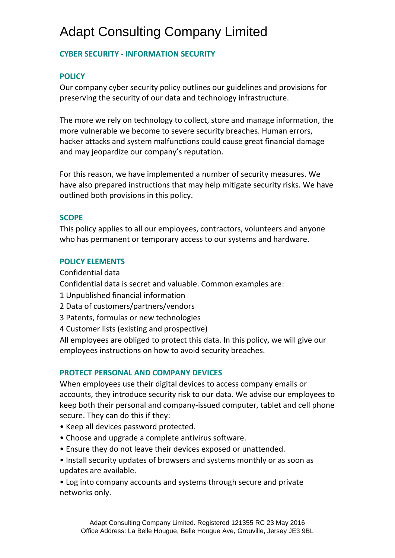# Adapt Consulting Company Limited

## **CYBER SECURITY - INFORMATION SECURITY**

## **POLICY**

Our company cyber security policy outlines our guidelines and provisions for preserving the security of our data and technology infrastructure.

The more we rely on technology to collect, store and manage information, the more vulnerable we become to severe security breaches. Human errors, hacker attacks and system malfunctions could cause great financial damage and may jeopardize our company's reputation.

For this reason, we have implemented a number of security measures. We have also prepared instructions that may help mitigate security risks. We have outlined both provisions in this policy.

### **SCOPE**

This policy applies to all our employees, contractors, volunteers and anyone who has permanent or temporary access to our systems and hardware.

### **POLICY ELEMENTS**

Confidential data

Confidential data is secret and valuable. Common examples are:

- 1 Unpublished financial information
- 2 Data of customers/partners/vendors
- 3 Patents, formulas or new technologies
- 4 Customer lists (existing and prospective)

All employees are obliged to protect this data. In this policy, we will give our employees instructions on how to avoid security breaches.

## **PROTECT PERSONAL AND COMPANY DEVICES**

When employees use their digital devices to access company emails or accounts, they introduce security risk to our data. We advise our employees to keep both their personal and company-issued computer, tablet and cell phone secure. They can do this if they:

- Keep all devices password protected.
- Choose and upgrade a complete antivirus software.
- Ensure they do not leave their devices exposed or unattended.
- Install security updates of browsers and systems monthly or as soon as updates are available.

• Log into company accounts and systems through secure and private networks only.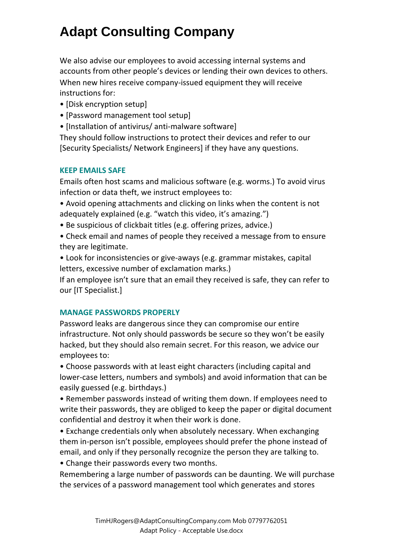# **Adapt Consulting Company**

We also advise our employees to avoid accessing internal systems and accounts from other people's devices or lending their own devices to others. When new hires receive company-issued equipment they will receive instructions for:

- [Disk encryption setup]
- [Password management tool setup]
- [Installation of antivirus/ anti-malware software]

They should follow instructions to protect their devices and refer to our [Security Specialists/ Network Engineers] if they have any questions.

#### **KEEP EMAILS SAFE**

Emails often host scams and malicious software (e.g. worms.) To avoid virus infection or data theft, we instruct employees to:

- Avoid opening attachments and clicking on links when the content is not adequately explained (e.g. "watch this video, it's amazing.")
- Be suspicious of clickbait titles (e.g. offering prizes, advice.)
- Check email and names of people they received a message from to ensure they are legitimate.
- Look for inconsistencies or give-aways (e.g. grammar mistakes, capital letters, excessive number of exclamation marks.)

If an employee isn't sure that an email they received is safe, they can refer to our [IT Specialist.]

#### **MANAGE PASSWORDS PROPERLY**

Password leaks are dangerous since they can compromise our entire infrastructure. Not only should passwords be secure so they won't be easily hacked, but they should also remain secret. For this reason, we advice our employees to:

• Choose passwords with at least eight characters (including capital and lower-case letters, numbers and symbols) and avoid information that can be easily guessed (e.g. birthdays.)

• Remember passwords instead of writing them down. If employees need to write their passwords, they are obliged to keep the paper or digital document confidential and destroy it when their work is done.

• Exchange credentials only when absolutely necessary. When exchanging them in-person isn't possible, employees should prefer the phone instead of email, and only if they personally recognize the person they are talking to.

• Change their passwords every two months.

Remembering a large number of passwords can be daunting. We will purchase the services of a password management tool which generates and stores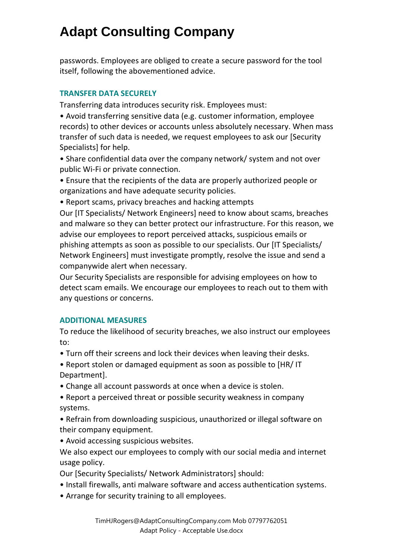## **Adapt Consulting Company**

passwords. Employees are obliged to create a secure password for the tool itself, following the abovementioned advice.

### **TRANSFER DATA SECURELY**

Transferring data introduces security risk. Employees must:

• Avoid transferring sensitive data (e.g. customer information, employee records) to other devices or accounts unless absolutely necessary. When mass transfer of such data is needed, we request employees to ask our [Security Specialists] for help.

• Share confidential data over the company network/ system and not over public Wi-Fi or private connection.

• Ensure that the recipients of the data are properly authorized people or organizations and have adequate security policies.

• Report scams, privacy breaches and hacking attempts

Our [IT Specialists/ Network Engineers] need to know about scams, breaches and malware so they can better protect our infrastructure. For this reason, we advise our employees to report perceived attacks, suspicious emails or phishing attempts as soon as possible to our specialists. Our [IT Specialists/ Network Engineers] must investigate promptly, resolve the issue and send a companywide alert when necessary.

Our Security Specialists are responsible for advising employees on how to detect scam emails. We encourage our employees to reach out to them with any questions or concerns.

## **ADDITIONAL MEASURES**

To reduce the likelihood of security breaches, we also instruct our employees to:

- Turn off their screens and lock their devices when leaving their desks.
- Report stolen or damaged equipment as soon as possible to [HR/ IT Department].
- Change all account passwords at once when a device is stolen.
- Report a perceived threat or possible security weakness in company systems.
- Refrain from downloading suspicious, unauthorized or illegal software on their company equipment.
- Avoid accessing suspicious websites.

We also expect our employees to comply with our social media and internet usage policy.

Our [Security Specialists/ Network Administrators] should:

- Install firewalls, anti malware software and access authentication systems.
- Arrange for security training to all employees.